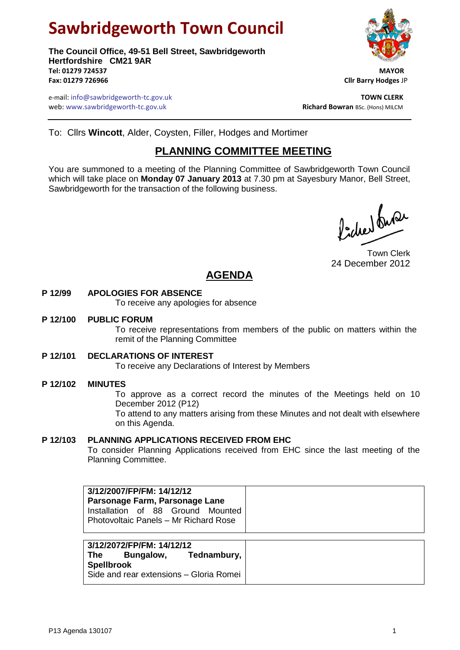# **Sawbridgeworth Town Council**

**The Council Office, 49-51 Bell Street, Sawbridgeworth Hertfordshire CM21 9AR Tel: 01279 724537 MAYOR Fax: 01279 726966 Cllr Barry Hodges** JP



e-mail: info@sawbridgeworth-tc.gov.uk **TOWN CLERK TOWN CLERK** web: www.sawbridgeworth-tc.gov.uk<br> **Richard Bowran** BSc. (Hons) MILCM

To: Cllrs **Wincott**, Alder, Coysten, Filler, Hodges and Mortimer

## **PLANNING COMMITTEE MEETING**

You are summoned to a meeting of the Planning Committee of Sawbridgeworth Town Council which will take place on **Monday 07 January 2013** at 7.30 pm at Sayesbury Manor, Bell Street, Sawbridgeworth for the transaction of the following business.

fidee buse

Town Clerk 24 December 2012

# **AGENDA**

## **P 12/99 APOLOGIES FOR ABSENCE**

To receive any apologies for absence

## **P 12/100 PUBLIC FORUM**

To receive representations from members of the public on matters within the remit of the Planning Committee

#### **P 12/101 DECLARATIONS OF INTEREST**

To receive any Declarations of Interest by Members

## **P 12/102 MINUTES**

To approve as a correct record the minutes of the Meetings held on 10 December 2012 (P12)

To attend to any matters arising from these Minutes and not dealt with elsewhere on this Agenda.

#### **P 12/103 PLANNING APPLICATIONS RECEIVED FROM EHC**

To consider Planning Applications received from EHC since the last meeting of the Planning Committee.

**3/12/2007/FP/FM: 14/12/12 Parsonage Farm, Parsonage Lane** Installation of 88 Ground Mounted Photovoltaic Panels – Mr Richard Rose

**3/12/2072/FP/FM: 14/12/12 The Bungalow, Tednambury, Spellbrook** Side and rear extensions – Gloria Romei